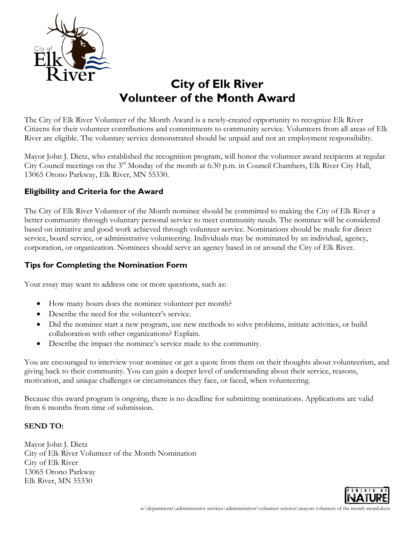

# **City of Elk River Volunteer of the Month Award**

The City of Elk River Volunteer of the Month Award is a newly-created opportunity to recognize Elk River Citizens for their volunteer contributions and commitments to community service. Volunteers from all areas of Elk River are eligible. The voluntary service demonstrated should be unpaid and not an employment responsibility.

Mayor John J. Dietz, who established the recognition program, will honor the volunteer award recipients at regular City Council meetings on the 3rd Monday of the month at 6:30 p.m. in Council Chambers, Elk River City Hall, 13065 Orono Parkway, Elk River, MN 55330.

## **Eligibility and Criteria for the Award**

The City of Elk River Volunteer of the Month nominee should be committed to making the City of Elk River a better community through voluntary personal service to meet community needs. The nominee will be considered based on initiative and good work achieved through volunteer service. Nominations should be made for direct service, board service, or administrative volunteering. Individuals may be nominated by an individual, agency, corporation, or organization. Nominees should serve an agency based in or around the City of Elk River.

### **Tips for Completing the Nomination Form**

Your essay may want to address one or more questions, such as:

- How many hours does the nominee volunteer per month?
- Describe the need for the volunteer's service.
- Did the nominee start a new program, use new methods to solve problems, initiate activities, or build collaboration with other organizations? Explain.
- Describe the impact the nominee's service made to the community.

You are encouraged to interview your nominee or get a quote from them on their thoughts about volunteerism, and giving back to their community. You can gain a deeper level of understanding about their service, reasons, motivation, and unique challenges or circumstances they face, or faced, when volunteering.

Because this award program is ongoing, there is no deadline for submitting nominations. Applications are valid from 6 months from time of submission.

#### **SEND TO:**

Mayor John J. Dietz City of Elk River Volunteer of the Month Nomination City of Elk River 13065 Orono Parkway Elk River, MN 55330

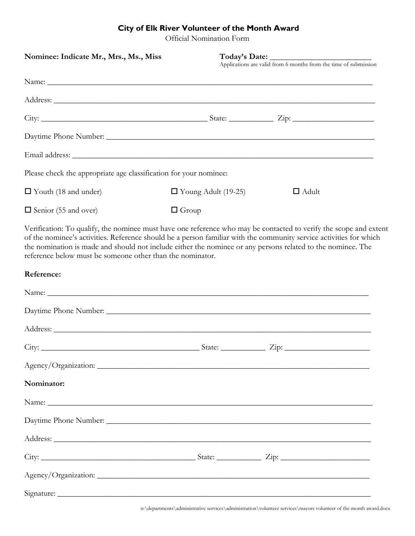# **City of Elk River Volunteer of the Month Award**

Official Nomination Form

| Nominee: Indicate Mr., Mrs., Ms., Miss                                                                                                                                                                                                                                                                                                                                                                              |                                            |  |  |  |
|---------------------------------------------------------------------------------------------------------------------------------------------------------------------------------------------------------------------------------------------------------------------------------------------------------------------------------------------------------------------------------------------------------------------|--------------------------------------------|--|--|--|
|                                                                                                                                                                                                                                                                                                                                                                                                                     |                                            |  |  |  |
|                                                                                                                                                                                                                                                                                                                                                                                                                     |                                            |  |  |  |
|                                                                                                                                                                                                                                                                                                                                                                                                                     |                                            |  |  |  |
|                                                                                                                                                                                                                                                                                                                                                                                                                     |                                            |  |  |  |
|                                                                                                                                                                                                                                                                                                                                                                                                                     |                                            |  |  |  |
| Please check the appropriate age classification for your nominee:                                                                                                                                                                                                                                                                                                                                                   |                                            |  |  |  |
| $\Box$ Youth (18 and under)                                                                                                                                                                                                                                                                                                                                                                                         | $\Box$ Young Adult (19-25)<br>$\Box$ Adult |  |  |  |
| $\Box$ Senior (55 and over)                                                                                                                                                                                                                                                                                                                                                                                         | $\Box$ Group                               |  |  |  |
| Verification: To qualify, the nominee must have one reference who may be contacted to verify the scope and extent<br>of the nominee's activities. Reference should be a person familiar with the community service activities for which<br>the nomination is made and should not include either the nominee or any persons related to the nominee. The<br>reference below must be someone other than the nominator. |                                            |  |  |  |
| Reference:                                                                                                                                                                                                                                                                                                                                                                                                          |                                            |  |  |  |
|                                                                                                                                                                                                                                                                                                                                                                                                                     |                                            |  |  |  |
|                                                                                                                                                                                                                                                                                                                                                                                                                     |                                            |  |  |  |
|                                                                                                                                                                                                                                                                                                                                                                                                                     |                                            |  |  |  |
|                                                                                                                                                                                                                                                                                                                                                                                                                     |                                            |  |  |  |
|                                                                                                                                                                                                                                                                                                                                                                                                                     |                                            |  |  |  |
| Nominator:                                                                                                                                                                                                                                                                                                                                                                                                          |                                            |  |  |  |
|                                                                                                                                                                                                                                                                                                                                                                                                                     |                                            |  |  |  |
|                                                                                                                                                                                                                                                                                                                                                                                                                     |                                            |  |  |  |
|                                                                                                                                                                                                                                                                                                                                                                                                                     |                                            |  |  |  |
|                                                                                                                                                                                                                                                                                                                                                                                                                     |                                            |  |  |  |
|                                                                                                                                                                                                                                                                                                                                                                                                                     |                                            |  |  |  |
|                                                                                                                                                                                                                                                                                                                                                                                                                     |                                            |  |  |  |

n:\departments\administrative services\administration\volunteer services\mayors volunteer of the month award.docx